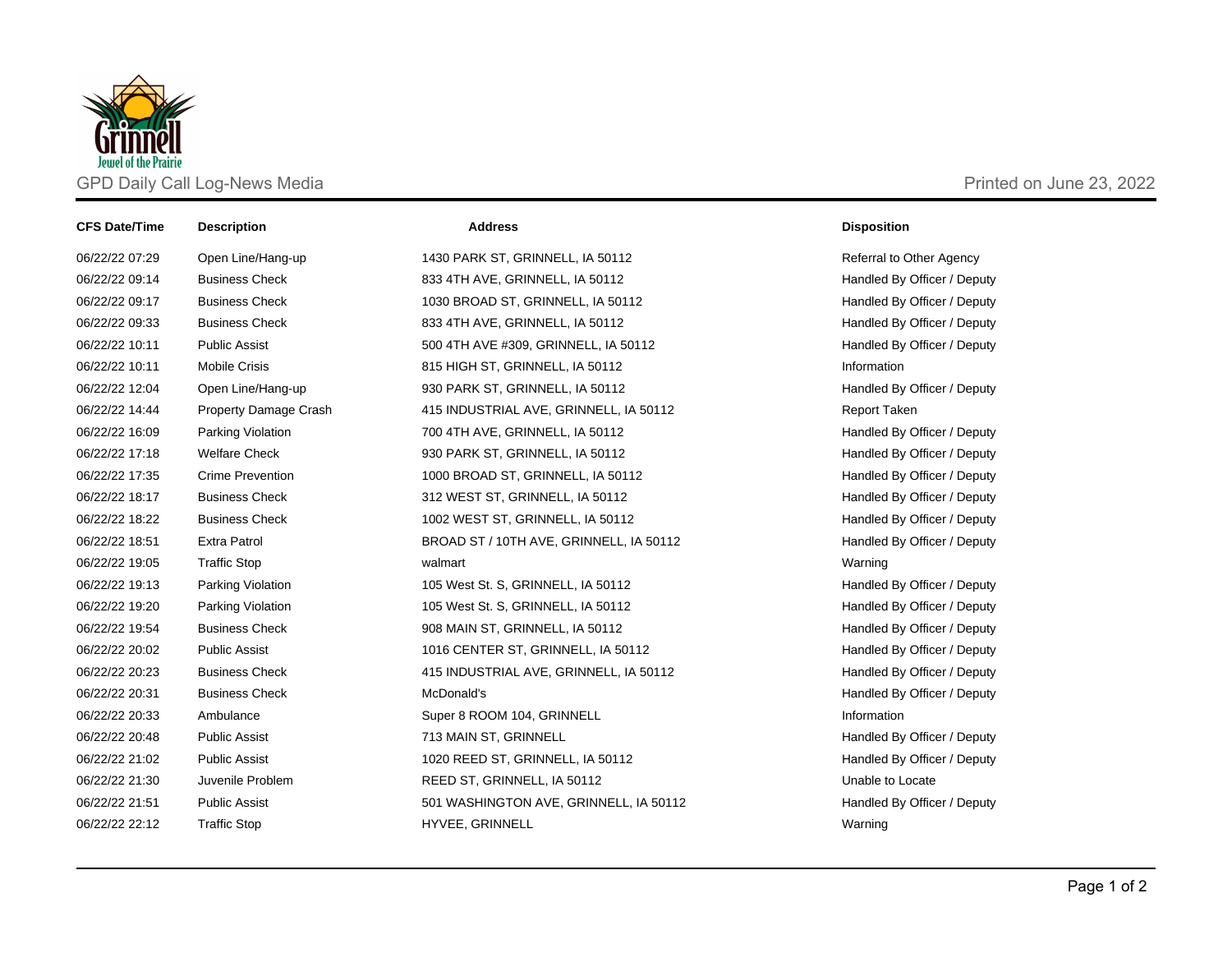

| <b>CFS Date/Time</b> | <b>Description</b>      | <b>Address</b>                          | <b>Disposition</b>          |
|----------------------|-------------------------|-----------------------------------------|-----------------------------|
| 06/22/22 07:29       | Open Line/Hang-up       | 1430 PARK ST, GRINNELL, IA 50112        | Referral to Other Agency    |
| 06/22/22 09:14       | <b>Business Check</b>   | 833 4TH AVE, GRINNELL, IA 50112         | Handled By Officer / Deputy |
| 06/22/22 09:17       | <b>Business Check</b>   | 1030 BROAD ST, GRINNELL, IA 50112       | Handled By Officer / Deputy |
| 06/22/22 09:33       | <b>Business Check</b>   | 833 4TH AVE, GRINNELL, IA 50112         | Handled By Officer / Deputy |
| 06/22/22 10:11       | <b>Public Assist</b>    | 500 4TH AVE #309, GRINNELL, IA 50112    | Handled By Officer / Deputy |
| 06/22/22 10:11       | <b>Mobile Crisis</b>    | 815 HIGH ST, GRINNELL, IA 50112         | Information                 |
| 06/22/22 12:04       | Open Line/Hang-up       | 930 PARK ST, GRINNELL, IA 50112         | Handled By Officer / Deputy |
| 06/22/22 14:44       | Property Damage Crash   | 415 INDUSTRIAL AVE, GRINNELL, IA 50112  | <b>Report Taken</b>         |
| 06/22/22 16:09       | Parking Violation       | 700 4TH AVE, GRINNELL, IA 50112         | Handled By Officer / Deputy |
| 06/22/22 17:18       | <b>Welfare Check</b>    | 930 PARK ST, GRINNELL, IA 50112         | Handled By Officer / Deputy |
| 06/22/22 17:35       | <b>Crime Prevention</b> | 1000 BROAD ST, GRINNELL, IA 50112       | Handled By Officer / Deputy |
| 06/22/22 18:17       | <b>Business Check</b>   | 312 WEST ST, GRINNELL, IA 50112         | Handled By Officer / Deputy |
| 06/22/22 18:22       | <b>Business Check</b>   | 1002 WEST ST, GRINNELL, IA 50112        | Handled By Officer / Deputy |
| 06/22/22 18:51       | <b>Extra Patrol</b>     | BROAD ST / 10TH AVE, GRINNELL, IA 50112 | Handled By Officer / Deputy |
| 06/22/22 19:05       | <b>Traffic Stop</b>     | walmart                                 | Warning                     |
| 06/22/22 19:13       | Parking Violation       | 105 West St. S, GRINNELL, IA 50112      | Handled By Officer / Deputy |
| 06/22/22 19:20       | Parking Violation       | 105 West St. S, GRINNELL, IA 50112      | Handled By Officer / Deputy |
| 06/22/22 19:54       | <b>Business Check</b>   | 908 MAIN ST, GRINNELL, IA 50112         | Handled By Officer / Deputy |
| 06/22/22 20:02       | <b>Public Assist</b>    | 1016 CENTER ST, GRINNELL, IA 50112      | Handled By Officer / Deputy |
| 06/22/22 20:23       | <b>Business Check</b>   | 415 INDUSTRIAL AVE, GRINNELL, IA 50112  | Handled By Officer / Deputy |
| 06/22/22 20:31       | <b>Business Check</b>   | McDonald's                              | Handled By Officer / Deputy |
| 06/22/22 20:33       | Ambulance               | Super 8 ROOM 104, GRINNELL              | Information                 |
| 06/22/22 20:48       | <b>Public Assist</b>    | 713 MAIN ST, GRINNELL                   | Handled By Officer / Deputy |
| 06/22/22 21:02       | <b>Public Assist</b>    | 1020 REED ST, GRINNELL, IA 50112        | Handled By Officer / Deputy |
| 06/22/22 21:30       | Juvenile Problem        | REED ST, GRINNELL, IA 50112             | Unable to Locate            |
| 06/22/22 21:51       | <b>Public Assist</b>    | 501 WASHINGTON AVE, GRINNELL, IA 50112  | Handled By Officer / Deputy |
| 06/22/22 22:12       | <b>Traffic Stop</b>     | HYVEE, GRINNELL                         | Warning                     |